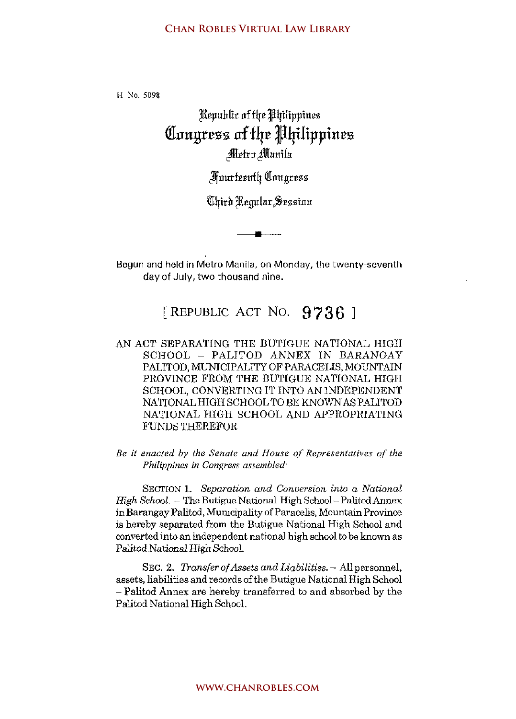H No. 5098

## $R$ epublic af the *Philippines* **a!Jrngt:ess of f4:e Jlfilippin:ez**  Metro Manila

Jlfnurfrrnfq QIuugrezs

(Ultird Regular Sezzion

**•** 

Begun and held in Metro Manila, on Monday, the twenty-seventh dayof July, two thousand nine.

## [REPUBLIC ACT NO. 9736]

AN ACT SEPARATING THE BUTIGUE NATIONAL HIGH SCHOOL - PALITOD ANNEX IN BARANGAY PALITOD, MUNICIPALITY OF PARACELIS, MOUNTAIN PROVINCE FROM THE BUTIGUE NATIONAL HIGH SCHOOL, CONVERTING IT INTO AN INDEPENDENT NATIONAL HIGH SCHOOL TO BE KNOWN AS PALITOD NATIONAL HIGH SCHOOL AND APPROPRIATING FUNDS THEREFOR

*Be it enacted by the Senate and House of Representatives of the Philippines in Congress assembled"* 

**SEc'rION 1.** *Separation and Conversion into* **a** *National High School.* - The Butigue National High School - Palitod Annex in Barangay Palitod, Municipality of Paracelis, Mountain Province is hereby separated from tbe Butigue National High School and converted into an independent national high school to be known as Palitod National High School.

SEC. 2. *Transfer of Assets and Liabilities.* - All personnel, assets, liabilities and records of the Butigue National High School - Palitod Annex are hereby transferred to and absorbed by the Palitod National High School.